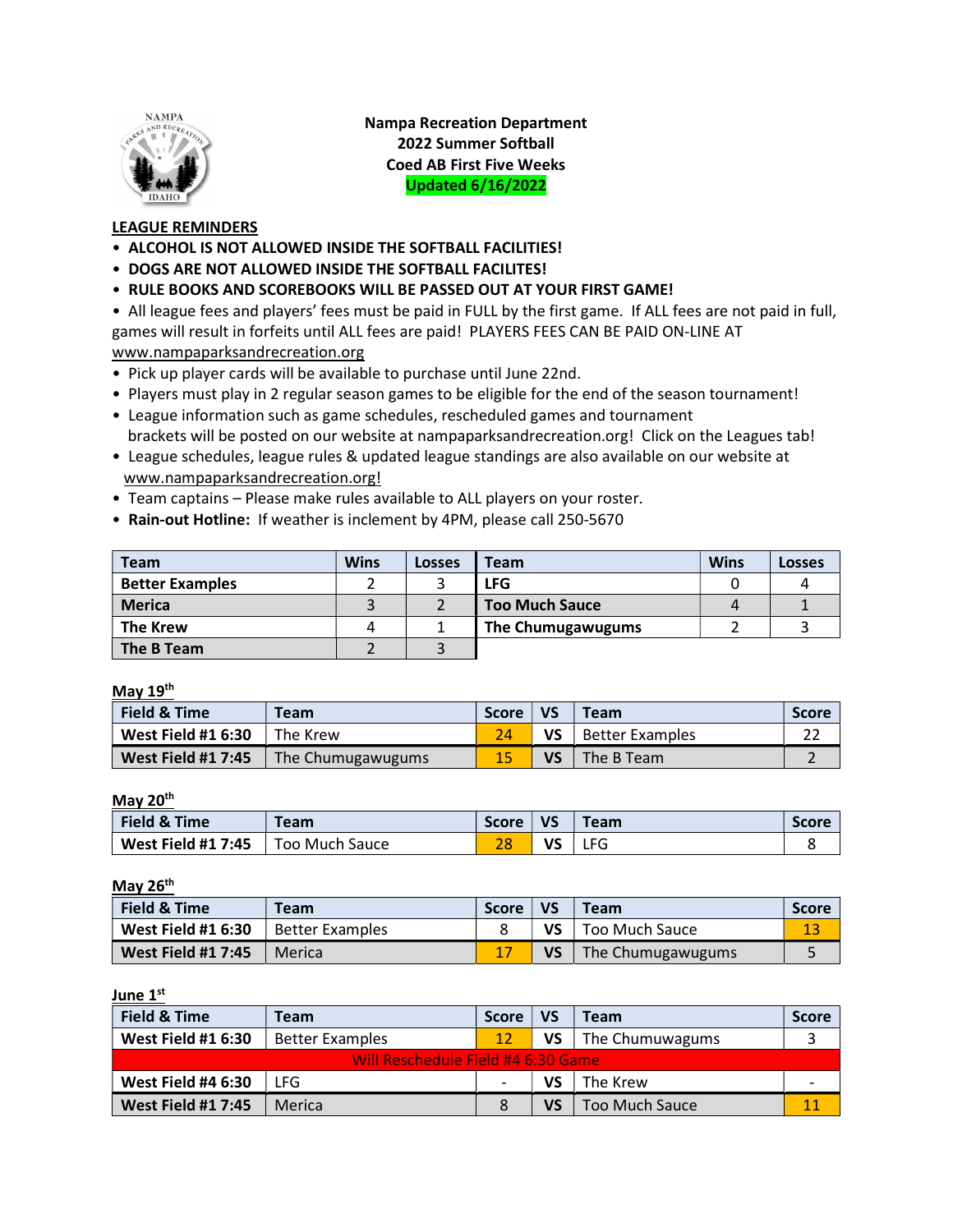

Nampa Recreation Department 2022 Summer Softball Coed AB First Five Weeks Updated 6/16/2022

## LEAGUE REMINDERS

- ALCOHOL IS NOT ALLOWED INSIDE THE SOFTBALL FACILITIES!
- DOGS ARE NOT ALLOWED INSIDE THE SOFTBALL FACILITES!
- RULE BOOKS AND SCOREBOOKS WILL BE PASSED OUT AT YOUR FIRST GAME!

• All league fees and players' fees must be paid in FULL by the first game. If ALL fees are not paid in full, games will result in forfeits until ALL fees are paid! PLAYERS FEES CAN BE PAID ON-LINE AT www.nampaparksandrecreation.org

- Pick up player cards will be available to purchase until June 22nd.
- Players must play in 2 regular season games to be eligible for the end of the season tournament!
- League information such as game schedules, rescheduled games and tournament brackets will be posted on our website at nampaparksandrecreation.org! Click on the Leagues tab!
- League schedules, league rules & updated league standings are also available on our website at www.nampaparksandrecreation.org!
- Team captains Please make rules available to ALL players on your roster.
- Rain-out Hotline: If weather is inclement by 4PM, please call 250-5670

| <b>Team</b>            | <b>Wins</b> | Losses | $T$ eam               | <b>Wins</b> | Losses |
|------------------------|-------------|--------|-----------------------|-------------|--------|
| <b>Better Examples</b> |             |        | <b>LFG</b>            |             |        |
| <b>Merica</b>          |             |        | <b>Too Much Sauce</b> |             |        |
| <b>The Krew</b>        | 4           |        | The Chumugawugums     |             |        |
| The B Team             |             |        |                       |             |        |

#### May 19th

| May $19^{th}$             |                   |              |           |                        |              |  |  |
|---------------------------|-------------------|--------------|-----------|------------------------|--------------|--|--|
| Field & Time              | <b>Team</b>       | <b>Score</b> | <b>VS</b> | <b>Team</b>            | <b>Score</b> |  |  |
| <b>West Field #1 6:30</b> | The Krew          |              | VS        | <b>Better Examples</b> |              |  |  |
| <b>West Field #1 7:45</b> | The Chumugawugums | 15           | VS        | The B Team             |              |  |  |

#### May 20<sup>th</sup> i<br>L

| Field & Time              | <b>Team</b>    | <b>Score</b> | VS | Team | Score |
|---------------------------|----------------|--------------|----|------|-------|
| <b>West Field #1 7:45</b> | Too Much Sauce | ിറ           | v٢ | LFG. |       |

May 26<sup>th</sup>

| Field & Time              | <b>Team</b>            | <b>Score</b> | <b>VS</b> | <b>Team</b>         | <b>Score</b> |
|---------------------------|------------------------|--------------|-----------|---------------------|--------------|
| <b>West Field #1 6:30</b> | <b>Better Examples</b> |              | VS        | Too Much Sauce      | 13           |
| <b>West Field #1 7:45</b> | Merica                 |              | VS        | 1 The Chumugawugums |              |

#### June 1<sup>st</sup>

| Field & Time                       | <b>Team</b>            | <b>Score</b> | <b>VS</b> | <b>Team</b>           | <b>Score</b> |  |  |
|------------------------------------|------------------------|--------------|-----------|-----------------------|--------------|--|--|
| <b>West Field #1 6:30</b>          | <b>Better Examples</b> | 12           | VS        | The Chumuwagums       |              |  |  |
| Will Reschedule Field #4 6:30 Game |                        |              |           |                       |              |  |  |
| <b>West Field #4 6:30</b>          | LFG                    |              | VS        | The Krew              |              |  |  |
| <b>West Field #1 7:45</b>          | Merica                 | 8            | VS        | <b>Too Much Sauce</b> | 11           |  |  |